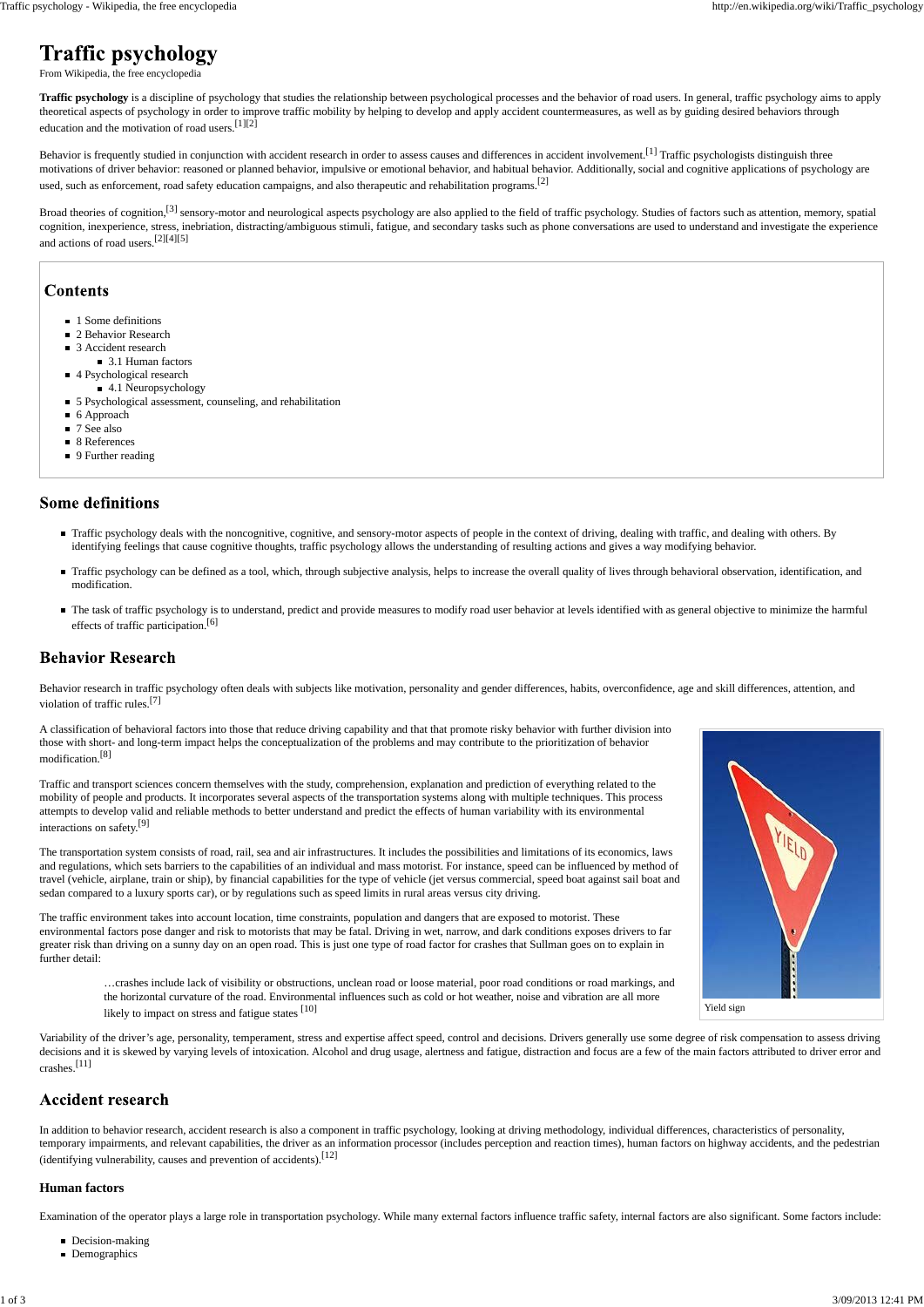| Yield sign |
|------------|

From Wikipedia, the free encyclopedia

**Traffic psychology** is a discipline of psychology that studies the relationship between psychological processes and the behavior of road users. In general, traffic psychology aims to apply theoretical aspects of psychology in order to improve traffic mobility by helping to develop and apply accident countermeasures, as well as by guiding desired behaviors through education and the motivation of road users.[1][2]

Behavior is frequently studied in conjunction with accident research in order to assess causes and differences in accident involvement.<sup>[1]</sup> Traffic psychologists distinguish three motivations of driver behavior: reasoned or planned behavior, impulsive or emotional behavior, and habitual behavior. Additionally, social and cognitive applications of psychology are used, such as enforcement, road safety education campaigns, and also therapeutic and rehabilitation programs.<sup>[2]</sup>

Broad theories of cognition,<sup>[3]</sup> sensory-motor and neurological aspects psychology are also applied to the field of traffic psychology. Studies of factors such as attention, memory, spatial cognition, inexperience, stress, inebriation, distracting/ambiguous stimuli, fatigue, and secondary tasks such as phone conversations are used to understand and investigate the experience and actions of road users.[2][4][5]

### **Contents**

- 1 Some definitions
- 2 Behavior Research
- 3 Accident research
	- 3.1 Human factors
- 4 Psychological research
	- 4.1 Neuropsychology
- 5 Psychological assessment, counseling, and rehabilitation
- 6 Approach
- 7 See also
- 8 References
- 9 Further reading

### **Some definitions**

- Traffic psychology deals with the noncognitive, cognitive, and sensory-motor aspects of people in the context of driving, dealing with traffic, and dealing with others. By identifying feelings that cause cognitive thoughts, traffic psychology allows the understanding of resulting actions and gives a way modifying behavior.
- Traffic psychology can be defined as a tool, which, through subjective analysis, helps to increase the overall quality of lives through behavioral observation, identification, and modification.
- The task of traffic psychology is to understand, predict and provide measures to modify road user behavior at levels identified with as general objective to minimize the harmful effects of traffic participation.<sup>[6]</sup>

### **Behavior Research**

Behavior research in traffic psychology often deals with subjects like motivation, personality and gender differences, habits, overconfidence, age and skill differences, attention, and violation of traffic rules.<sup>[7]</sup>

A classification of behavioral factors into those that reduce driving capability and that that promote risky behavior with further division into those with short- and long-term impact helps the conceptualization of the problems and may contribute to the prioritization of behavior modification.<sup>[8]</sup>

Traffic and transport sciences concern themselves with the study, comprehension, explanation and prediction of everything related to the mobility of people and products. It incorporates several aspects of the transportation systems along with multiple techniques. This process attempts to develop valid and reliable methods to better understand and predict the effects of human variability with its environmental interactions on safety.<sup>[9]</sup>

> the horizontal curvature of the road. Environmental influences such as cold or hot weather, noise and vibration are all more likely to impact on stress and fatigue states [10]

The transportation system consists of road, rail, sea and air infrastructures. It includes the possibilities and limitations of its economics, laws and regulations, which sets barriers to the capabilities of an individual and mass motorist. For instance, speed can be influenced by method of travel (vehicle, airplane, train or ship), by financial capabilities for the type of vehicle (jet versus commercial, speed boat against sail boat and sedan compared to a luxury sports car), or by regulations such as speed limits in rural areas versus city driving.

The traffic environment takes into account location, time constraints, population and dangers that are exposed to motorist. These environmental factors pose danger and risk to motorists that may be fatal. Driving in wet, narrow, and dark conditions exposes drivers to far greater risk than driving on a sunny day on an open road. This is just one type of road factor for crashes that Sullman goes on to explain in further detail:

…crashes include lack of visibility or obstructions, unclean road or loose material, poor road conditions or road markings, and



Variability of the driver's age, personality, temperament, stress and expertise affect speed, control and decisions. Drivers generally use some degree of risk compensation to assess driving decisions and it is skewed by varying levels of intoxication. Alcohol and drug usage, alertness and fatigue, distraction and focus are a few of the main factors attributed to driver error and crashes.[11]

## **Accident research**

In addition to behavior research, accident research is also a component in traffic psychology, looking at driving methodology, individual differences, characteristics of personality, temporary impairments, and relevant capabilities, the driver as an information processor (includes perception and reaction times), human factors on highway accidents, and the pedestrian (identifying vulnerability, causes and prevention of accidents).[12]

#### **Human factors**

Examination of the operator plays a large role in transportation psychology. While many external factors influence traffic safety, internal factors are also significant. Some factors include:

- Decision-making
- **Demographics**

# **Traffic psychology**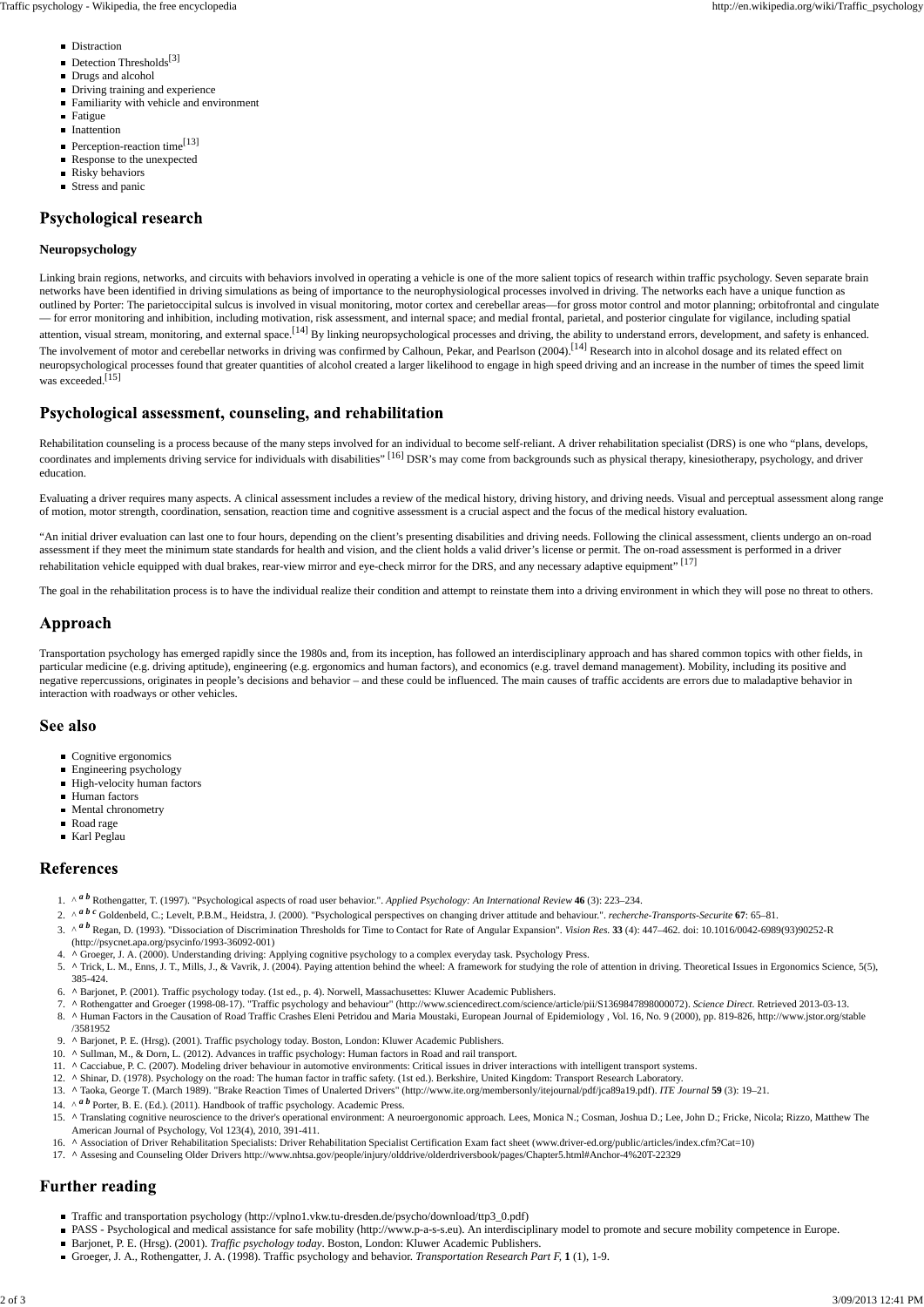Linking brain regions, networks, and circuits with behaviors involved in operating a vehicle is one of the more salient topics of research within traffic psychology. Seven separate brain networks have been identified in driving simulations as being of importance to the neurophysiological processes involved in driving. The networks each have a unique function as outlined by Porter: The parietoccipital sulcus is involved in visual monitoring, motor cortex and cerebellar areas—for gross motor control and motor planning; orbitofrontal and cingulate — for error monitoring and inhibition, including motivation, risk assessment, and internal space; and medial frontal, parietal, and posterior cingulate for vigilance, including spatial attention, visual stream, monitoring, and external space.<sup>[14]</sup> By linking neuropsychological processes and driving, the ability to understand errors, development, and safety is enhanced. The involvement of motor and cerebellar networks in driving was confirmed by Calhoun, Pekar, and Pearlson (2004).<sup>[14]</sup> Research into in alcohol dosage and its related effect on neuropsychological processes found that greater quantities of alcohol created a larger likelihood to engage in high speed driving and an increase in the number of times the speed limit was exceeded.<sup>[15]</sup>

### Psychological assessment, counseling, and rehabilitation

#### **Neuropsychology**

Rehabilitation counseling is a process because of the many steps involved for an individual to become self-reliant. A driver rehabilitation specialist (DRS) is one who "plans, develops, coordinates and implements driving service for individuals with disabilities" [16] DSR's may come from backgrounds such as physical therapy, kinesiotherapy, psychology, and driver education.

"An initial driver evaluation can last one to four hours, depending on the client's presenting disabilities and driving needs. Following the clinical assessment, clients undergo an on-road assessment if they meet the minimum state standards for health and vision, and the client holds a valid driver's license or permit. The on-road assessment is performed in a driver rehabilitation vehicle equipped with dual brakes, rear-view mirror and eye-check mirror for the DRS, and any necessary adaptive equipment". [17]

The goal in the rehabilitation process is to have the individual realize their condition and attempt to reinstate them into a driving environment in which they will pose no threat to others.

### Approach

Evaluating a driver requires many aspects. A clinical assessment includes a review of the medical history, driving history, and driving needs. Visual and perceptual assessment along range of motion, motor strength, coordination, sensation, reaction time and cognitive assessment is a crucial aspect and the focus of the medical history evaluation.

- 1. ^ *a b* Rothengatter, T. (1997). "Psychological aspects of road user behavior.". *Applied Psychology: An International Review* 46 (3): 223–234.
- 2. ^ *a b c* Goldenbeld, C.; Levelt, P.B.M., Heidstra, J. (2000). "Psychological perspectives on changing driver attitude and behaviour.". *recherche-Transports-Securite* 67: 65–81.
- 3. ^ <sup>*a b*</sup> Regan, D. (1993). "Dissociation of Discrimination Thresholds for Time to Contact for Rate of Angular Expansion". *Vision Res.* 33 (4): 447–462. doi: 10.1016/0042-6989(93)90252-R (http://psycnet.apa.org/psycinfo/1993-36092-001)
- 4. **^** Groeger, J. A. (2000). Understanding driving: Applying cognitive psychology to a complex everyday task. Psychology Press.
- 5. ^ Trick, L. M., Enns, J. T., Mills, J., & Vavrik, J. (2004). Paying attention behind the wheel: A framework for studying the role of attention in driving. Theoretical Issues in Ergonomics Science, 5(5), 385-424.
- 6. **^** Barjonet, P. (2001). Traffic psychology today. (1st ed., p. 4). Norwell, Massachusettes: Kluwer Academic Publishers.
- 7. **^** Rothengatter and Groeger (1998-08-17). "Traffic psychology and behaviour" (http://www.sciencedirect.com/science/article/pii/S1369847898000072). *Science Direct*. Retrieved 2013-03-13.
- 8. ^ Human Factors in the Causation of Road Traffic Crashes Eleni Petridou and Maria Moustaki, European Journal of Epidemiology , Vol. 16, No. 9 (2000), pp. 819-826, http://www.jstor.org/stable /3581952
- 9. **^** Barjonet, P. E. (Hrsg). (2001). Traffic psychology today. Boston, London: Kluwer Academic Publishers.
- 10. **^** Sullman, M., & Dorn, L. (2012). Advances in traffic psychology: Human factors in Road and rail transport.
- 11. **^** Cacciabue, P. C. (2007). Modeling driver behaviour in automotive environments: Critical issues in driver interactions with intelligent transport systems.
- 12. **^** Shinar, D. (1978). Psychology on the road: The human factor in traffic safety. (1st ed.). Berkshire, United Kingdom: Transport Research Laboratory.
- 13. **^** Taoka, George T. (March 1989). "Brake Reaction Times of Unalerted Drivers" (http://www.ite.org/membersonly/itejournal/pdf/jca89a19.pdf). *ITE Journal* **59** (3): 19–21.
- 14.  $\wedge^{\alpha}$  *b* Porter, B. E. (Ed.). (2011). Handbook of traffic psychology. Academic Press.
- 15. ^ Translating cognitive neuroscience to the driver's operational environment: A neuroergonomic approach. Lees, Monica N.; Cosman, Joshua D.; Lee, John D.; Fricke, Nicola; Rizzo, Matthew The American Journal of Psychology, Vol 123(4), 2010, 391-411.
- 16. **^** Association of Driver Rehabilitation Specialists: Driver Rehabilitation Specialist Certification Exam fact sheet (www.driver-ed.org/public/articles/index.cfm?Cat=10)
- 17. **^** Assesing and Counseling Older Drivers http://www.nhtsa.gov/people/injury/olddrive/olderdriversbook/pages/Chapter5.html#Anchor-4%20T-22329

# **Further reading**

Transportation psychology has emerged rapidly since the 1980s and, from its inception, has followed an interdisciplinary approach and has shared common topics with other fields, in particular medicine (e.g. driving aptitude), engineering (e.g. ergonomics and human factors), and economics (e.g. travel demand management). Mobility, including its positive and negative repercussions, originates in people's decisions and behavior – and these could be influenced. The main causes of traffic accidents are errors due to maladaptive behavior in interaction with roadways or other vehicles.

### See also

- Cognitive ergonomics
- Engineering psychology
- High-velocity human factors
- **Human** factors
- **Mental chronometry**
- Road rage
- Karl Peglau

### **References**

- Traffic and transportation psychology (http://vplno1.vkw.tu-dresden.de/psycho/download/ttp3\_0.pdf)
- PASS Psychological and medical assistance for safe mobility (http://www.p-a-s-s.eu). An interdisciplinary model to promote and secure mobility competence in Europe.
- Barjonet, P. E. (Hrsg). (2001). *Traffic psychology today*. Boston, London: Kluwer Academic Publishers.
- Groeger, J. A., Rothengatter, J. A. (1998). Traffic psychology and behavior. *Transportation Research Part F,* **1** (1), 1-9.
- **Distraction**
- $\blacksquare$  Detection Thresholds<sup>[3]</sup>
- Drugs and alcohol
- Driving training and experience
- Familiarity with vehicle and environment
- Fatigue
- **Inattention**
- Perception-reaction time<sup>[13]</sup>
- Response to the unexpected
- **Risky behaviors**
- **Stress and panic**

## **Psychological research**